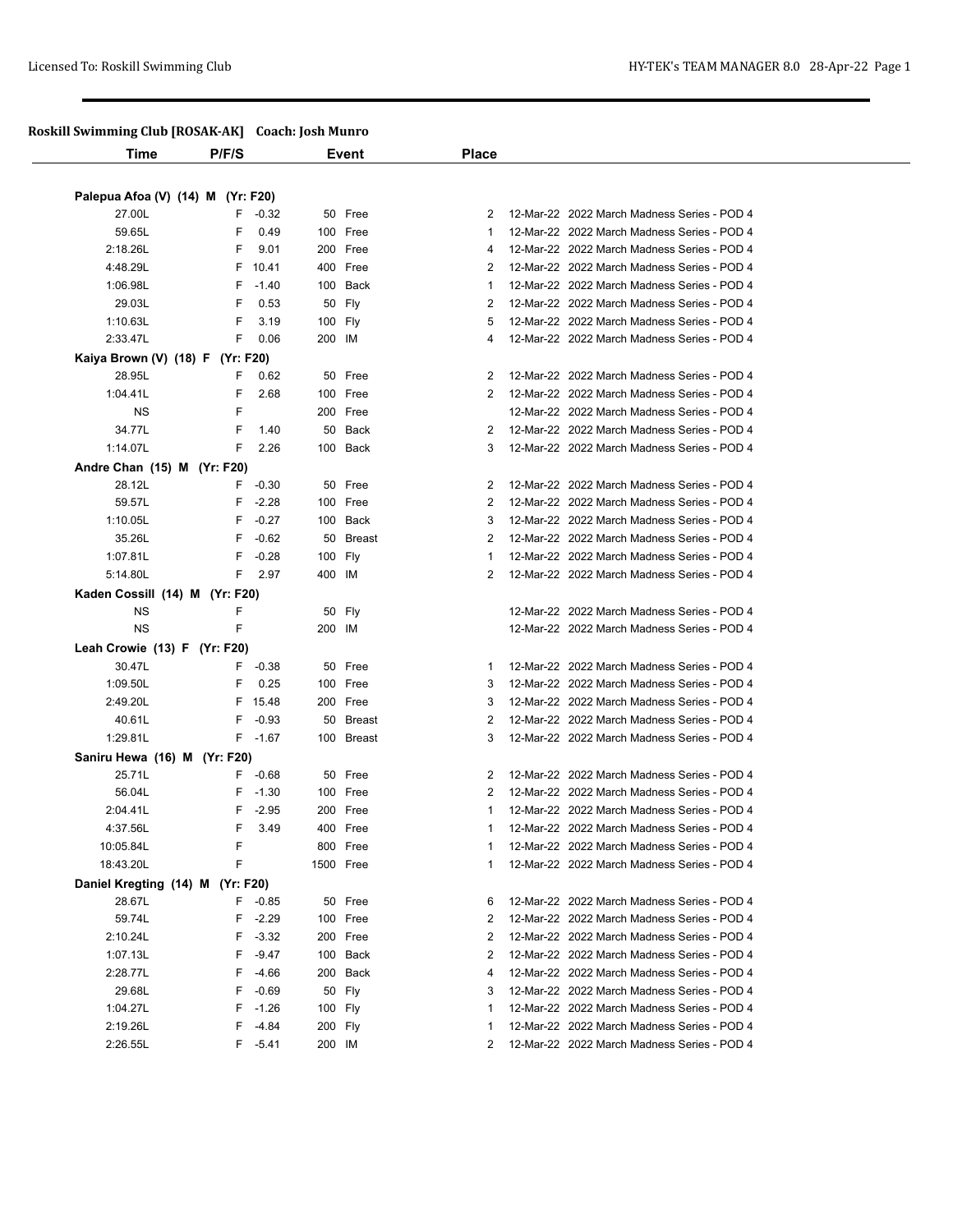## **Roskill Swimming Club [ROSAK-AK] Coach: Josh Munro**

| <u>womn on mining</u> and problem in j |       |            |           |            |                |                                             |
|----------------------------------------|-------|------------|-----------|------------|----------------|---------------------------------------------|
| Time                                   | P/F/S |            |           | Event      | <b>Place</b>   |                                             |
|                                        |       |            |           |            |                |                                             |
| Palepua Afoa (V) (14) M (Yr: F20)      |       |            |           |            |                |                                             |
| 27.00L                                 |       | $F -0.32$  |           | 50 Free    | 2              | 12-Mar-22 2022 March Madness Series - POD 4 |
| 59.65L                                 | F     | 0.49       |           | 100 Free   | 1              | 12-Mar-22 2022 March Madness Series - POD 4 |
| 2:18.26L                               | F     | 9.01       |           | 200 Free   | 4              | 12-Mar-22 2022 March Madness Series - POD 4 |
| 4:48.29L                               | F     | 10.41      |           | 400 Free   | 2              | 12-Mar-22 2022 March Madness Series - POD 4 |
| 1:06.98L                               | F     | $-1.40$    |           | 100 Back   | 1              | 12-Mar-22 2022 March Madness Series - POD 4 |
| 29.03L                                 | F     | 0.53       |           | 50 Fly     | 2              | 12-Mar-22 2022 March Madness Series - POD 4 |
| 1:10.63L                               | F     | 3.19       | 100 Fly   |            | 5              | 12-Mar-22 2022 March Madness Series - POD 4 |
| 2:33.47L                               | F     | 0.06       | 200 IM    |            | 4              | 12-Mar-22 2022 March Madness Series - POD 4 |
| Kaiya Brown (V) (18) F (Yr: F20)       |       |            |           |            |                |                                             |
| 28.95L                                 | F     | 0.62       |           | 50 Free    | 2              | 12-Mar-22 2022 March Madness Series - POD 4 |
| 1:04.41L                               | F     | 2.68       |           | 100 Free   | 2              | 12-Mar-22 2022 March Madness Series - POD 4 |
| ΝS                                     | F     |            |           | 200 Free   |                | 12-Mar-22 2022 March Madness Series - POD 4 |
| 34.77L                                 | F     | 1.40       |           | 50 Back    | 2              | 12-Mar-22 2022 March Madness Series - POD 4 |
| 1:14.07L                               | F     | 2.26       |           | 100 Back   | 3              | 12-Mar-22 2022 March Madness Series - POD 4 |
| Andre Chan (15) M (Yr: F20)            |       |            |           |            |                |                                             |
| 28.12L                                 | F.    | $-0.30$    |           | 50 Free    | 2              | 12-Mar-22 2022 March Madness Series - POD 4 |
| 59.57L                                 | F     | $-2.28$    |           | 100 Free   | 2              | 12-Mar-22 2022 March Madness Series - POD 4 |
| 1:10.05L                               | F     | $-0.27$    |           | 100 Back   | 3              | 12-Mar-22 2022 March Madness Series - POD 4 |
| 35.26L                                 | F     | $-0.62$    |           | 50 Breast  | 2              | 12-Mar-22 2022 March Madness Series - POD 4 |
| 1:07.81L                               | F     | $-0.28$    | 100 Fly   |            |                | 12-Mar-22 2022 March Madness Series - POD 4 |
| 5:14.80L                               | F     | 2.97       | 400 IM    |            | 2              | 12-Mar-22 2022 March Madness Series - POD 4 |
| Kaden Cossill (14) M (Yr: F20)         |       |            |           |            |                |                                             |
| ΝS                                     | F     |            |           | 50 Fly     |                | 12-Mar-22 2022 March Madness Series - POD 4 |
| <b>NS</b>                              | F     |            | 200 IM    |            |                | 12-Mar-22 2022 March Madness Series - POD 4 |
| Leah Crowie (13) F (Yr: F20)           |       |            |           |            |                |                                             |
| 30.47L                                 | F.    | $-0.38$    |           | 50 Free    | 1              | 12-Mar-22 2022 March Madness Series - POD 4 |
| 1:09.50L                               | F     | 0.25       |           | 100 Free   | 3              | 12-Mar-22 2022 March Madness Series - POD 4 |
| 2:49.20L                               | F     | 15.48      |           | 200 Free   | 3              | 12-Mar-22 2022 March Madness Series - POD 4 |
| 40.61L                                 | F     | $-0.93$    |           | 50 Breast  | 2              | 12-Mar-22 2022 March Madness Series - POD 4 |
| 1:29.81L                               |       | F -1.67    |           | 100 Breast | 3              | 12-Mar-22 2022 March Madness Series - POD 4 |
|                                        |       |            |           |            |                |                                             |
| Saniru Hewa (16) M (Yr: F20)           |       |            |           |            |                |                                             |
| 25.71L                                 |       | F -0.68    |           | 50 Free    | $\overline{2}$ | 12-Mar-22 2022 March Madness Series - POD 4 |
| 56.04L                                 | F     | $-1.30$    |           | 100 Free   | 2              | 12-Mar-22 2022 March Madness Series - POD 4 |
| 2:04.41L                               | F     | $-2.95$    |           | 200 Free   | 1              | 12-Mar-22 2022 March Madness Series - POD 4 |
| 4:37.56L                               | F     | 3.49       |           | 400 Free   | 1              | 12-Mar-22 2022 March Madness Series - POD 4 |
| 10:05.84L                              | F     |            |           | 800 Free   | 1              | 12-Mar-22 2022 March Madness Series - POD 4 |
| 18:43.20L                              | F     |            | 1500 Free |            | 1              | 12-Mar-22 2022 March Madness Series - POD 4 |
| Daniel Kregting (14) M (Yr: F20)       |       |            |           |            |                |                                             |
| 28.67L                                 | F     | $-0.85$    |           | 50 Free    | 6              | 12-Mar-22 2022 March Madness Series - POD 4 |
| 59.74L                                 | F     | $-2.29$    |           | 100 Free   | 2              | 12-Mar-22 2022 March Madness Series - POD 4 |
| 2:10.24L                               | F     | $-3.32$    |           | 200 Free   | 2              | 12-Mar-22 2022 March Madness Series - POD 4 |
| 1:07.13L                               | F     | $-9.47$    |           | 100 Back   | 2              | 12-Mar-22 2022 March Madness Series - POD 4 |
| 2:28.77L                               | F     | $-4.66$    |           | 200 Back   | 4              | 12-Mar-22 2022 March Madness Series - POD 4 |
| 29.68L                                 | F     | $-0.69$    |           | 50 Fly     | 3              | 12-Mar-22 2022 March Madness Series - POD 4 |
| 1:04.27L                               | F     | $-1.26$    | 100 Fly   |            | 1              | 12-Mar-22 2022 March Madness Series - POD 4 |
| 2:19.26L                               | F     | $-4.84$    | 200 Fly   |            | 1              | 12-Mar-22 2022 March Madness Series - POD 4 |
| 2:26.55L                               |       | $F - 5.41$ | 200 IM    |            | 2              | 12-Mar-22 2022 March Madness Series - POD 4 |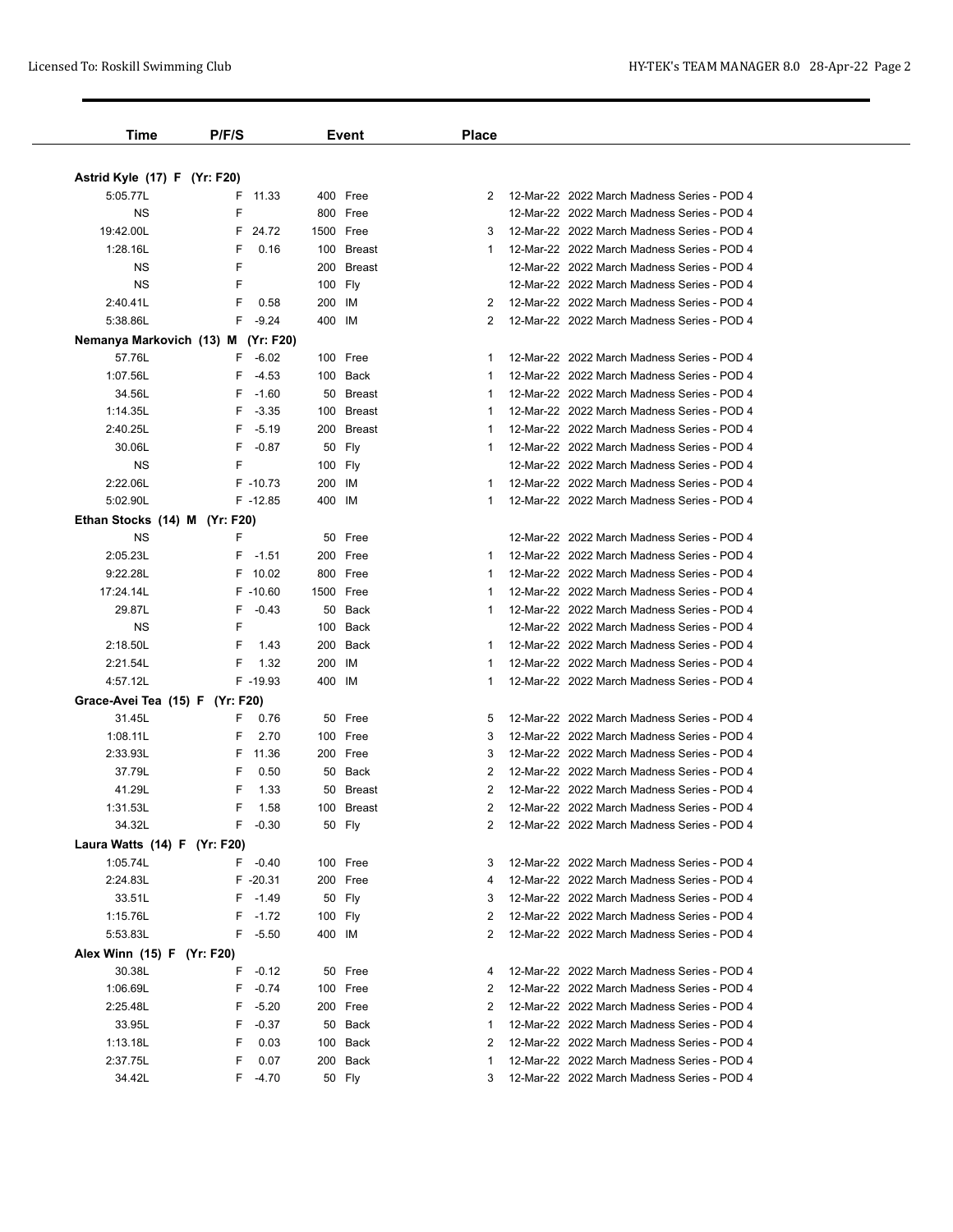| Astrid Kyle (17) F (Yr: F20)<br>5:05.77L |               |           |            |    |                                             |
|------------------------------------------|---------------|-----------|------------|----|---------------------------------------------|
|                                          |               |           |            |    |                                             |
|                                          |               |           |            |    |                                             |
|                                          | F<br>11.33    | 400 Free  |            | 2  | 12-Mar-22 2022 March Madness Series - POD 4 |
| <b>NS</b>                                | F             | 800 Free  |            |    | 12-Mar-22 2022 March Madness Series - POD 4 |
| 19:42.00L                                | F<br>24.72    | 1500 Free |            | 3  | 12-Mar-22 2022 March Madness Series - POD 4 |
| 1:28.16L                                 | F<br>0.16     |           | 100 Breast |    | 12-Mar-22 2022 March Madness Series - POD 4 |
| ΝS                                       | F             |           | 200 Breast |    | 12-Mar-22 2022 March Madness Series - POD 4 |
| ΝS                                       | F             | 100 Fly   |            |    | 12-Mar-22 2022 March Madness Series - POD 4 |
| 2:40.41L                                 | F<br>0.58     | 200       | IM         | 2  | 12-Mar-22 2022 March Madness Series - POD 4 |
| 5:38.86L                                 | F<br>$-9.24$  | 400 IM    |            | 2  | 12-Mar-22 2022 March Madness Series - POD 4 |
| Nemanya Markovich (13) M                 | (Yr: F20)     |           |            |    |                                             |
| 57.76L                                   | $-6.02$<br>F. | 100 Free  |            | 1  | 12-Mar-22 2022 March Madness Series - POD 4 |
| 1:07.56L                                 | F<br>$-4.53$  | 100 Back  |            |    | 12-Mar-22 2022 March Madness Series - POD 4 |
| 34.56L                                   | F<br>$-1.60$  |           | 50 Breast  |    | 12-Mar-22 2022 March Madness Series - POD 4 |
| 1:14.35L                                 | F<br>$-3.35$  |           | 100 Breast | 1  | 12-Mar-22 2022 March Madness Series - POD 4 |
| 2:40.25L                                 | F<br>$-5.19$  |           | 200 Breast | 1  | 12-Mar-22 2022 March Madness Series - POD 4 |
| 30.06L                                   | F<br>$-0.87$  | 50        | Fly        | 1  | 12-Mar-22 2022 March Madness Series - POD 4 |
| ΝS                                       | F             | 100 Fly   |            |    | 12-Mar-22 2022 March Madness Series - POD 4 |
| 2:22.06L                                 | F -10.73      | 200       | IM         |    | 12-Mar-22 2022 March Madness Series - POD 4 |
| 5:02.90L                                 | $F - 12.85$   | 400 IM    |            |    | 12-Mar-22 2022 March Madness Series - POD 4 |
| Ethan Stocks (14) M (Yr: F20)            |               |           |            |    |                                             |
| ΝS                                       | F             | 50 Free   |            |    | 12-Mar-22 2022 March Madness Series - POD 4 |
| 2:05.23L                                 | F.<br>$-1.51$ | 200 Free  |            | 1  | 12-Mar-22 2022 March Madness Series - POD 4 |
| 9:22.28L                                 | F 10.02       | 800 Free  |            |    | 12-Mar-22 2022 March Madness Series - POD 4 |
| 17:24.14L                                | $F - 10.60$   | 1500 Free |            | -1 | 12-Mar-22 2022 March Madness Series - POD 4 |
| 29.87L                                   | F<br>$-0.43$  |           | 50 Back    | 1  | 12-Mar-22 2022 March Madness Series - POD 4 |
| <b>NS</b>                                | F             | 100 Back  |            |    | 12-Mar-22 2022 March Madness Series - POD 4 |
| 2:18.50L                                 | F<br>1.43     | 200       | Back       | 1  | 12-Mar-22 2022 March Madness Series - POD 4 |
| 2:21.54L                                 | F<br>1.32     | 200       | IM         | 1  | 12-Mar-22 2022 March Madness Series - POD 4 |
| 4:57.12L                                 | F-19.93       | 400 IM    |            | 1  | 12-Mar-22 2022 March Madness Series - POD 4 |
| Grace-Avei Tea (15) F (Yr: F20)          |               |           |            |    |                                             |
| 31.45L                                   | F.<br>0.76    | 50 Free   |            | 5  | 12-Mar-22 2022 March Madness Series - POD 4 |
| 1:08.11L                                 | F<br>2.70     | 100 Free  |            | 3  | 12-Mar-22 2022 March Madness Series - POD 4 |
| 2:33.93L                                 | F<br>11.36    | 200 Free  |            | 3  | 12-Mar-22 2022 March Madness Series - POD 4 |
| 37.79L                                   | F<br>0.50     |           | 50 Back    |    | 12-Mar-22 2022 March Madness Series - POD 4 |
| 41.29L                                   | F<br>1.33     |           | 50 Breast  | 2  | 12-Mar-22 2022 March Madness Series - POD 4 |
| 1:31.53L                                 | F<br>1.58     |           | 100 Breast | 2  | 12-Mar-22 2022 March Madness Series - POD 4 |
| 34.32L                                   | F<br>$-0.30$  | 50 Fly    |            | 2  | 12-Mar-22 2022 March Madness Series - POD 4 |
| Laura Watts (14) F (Yr: F20)             |               |           |            |    |                                             |
| 1:05.74L                                 | $-0.40$<br>F. | 100 Free  |            | 3  | 12-Mar-22 2022 March Madness Series - POD 4 |
| 2:24.83L                                 | F -20.31      | 200 Free  |            | 4  | 12-Mar-22 2022 March Madness Series - POD 4 |
| 33.51L                                   | $F - 1.49$    | 50 Fly    |            | 3  | 12-Mar-22 2022 March Madness Series - POD 4 |
| 1:15.76L                                 | F.<br>$-1.72$ | 100 Fly   |            | 2  | 12-Mar-22 2022 March Madness Series - POD 4 |
| 5:53.83L                                 | F<br>$-5.50$  | 400 IM    |            | 2  | 12-Mar-22 2022 March Madness Series - POD 4 |
| Alex Winn (15) F (Yr: F20)               |               |           |            |    |                                             |
| 30.38L                                   | F<br>$-0.12$  | 50 Free   |            | 4  | 12-Mar-22 2022 March Madness Series - POD 4 |
| 1:06.69L                                 | F<br>$-0.74$  | 100 Free  |            | 2  | 12-Mar-22 2022 March Madness Series - POD 4 |
| 2:25.48L                                 | F<br>$-5.20$  | 200 Free  |            | 2  | 12-Mar-22 2022 March Madness Series - POD 4 |
| 33.95L                                   | F<br>$-0.37$  |           | 50 Back    | 1  | 12-Mar-22 2022 March Madness Series - POD 4 |
| 1:13.18L                                 | F<br>0.03     | 100 Back  |            | 2  | 12-Mar-22 2022 March Madness Series - POD 4 |
| 2:37.75L                                 | F<br>0.07     | 200 Back  |            |    | 12-Mar-22 2022 March Madness Series - POD 4 |
|                                          | F<br>$-4.70$  | 50 Fly    |            | 3  | 12-Mar-22 2022 March Madness Series - POD 4 |